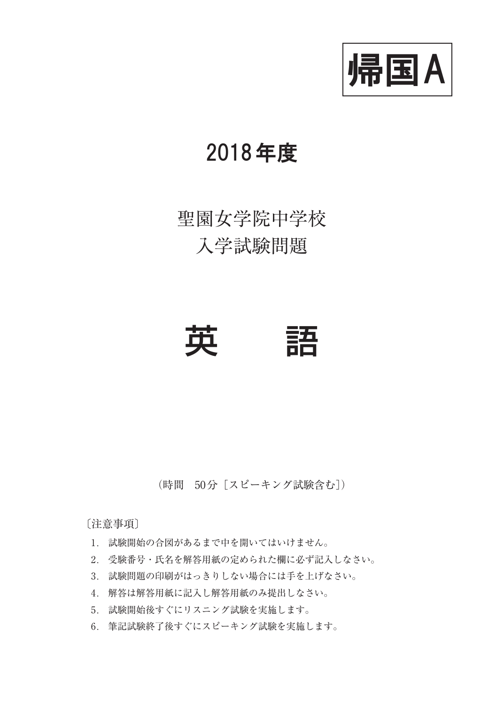

## 2018年度

# 聖園女学院中学校 入学試験問題



(時間 50分[スピーキング試験含む])

〔注意事項〕

- 1. 試験開始の合図があるまで中を開いてはいけません。
- 2. 受験番号・氏名を解答用紙の定められた欄に必ず記入しなさい。
- 3. 試験問題の印刷がはっきりしない場合には手を上げなさい。
- 4. 解答は解答用紙に記入し解答用紙のみ提出しなさい。
- 5. 試験開始後すぐにリスニング試験を実施します。
- 6. 筆記試験終了後すぐにスピーキング試験を実施します。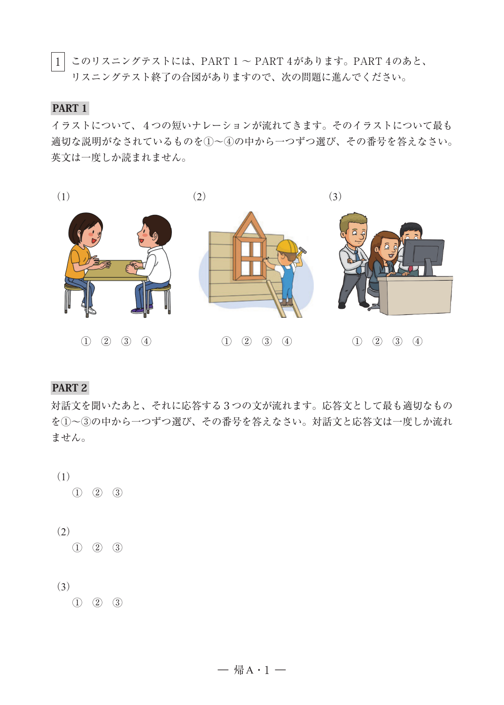$\mid 1 \mid$  このリスニングテストには、PART 1 ~ PART 4があります。PART 4のあと、 リスニングテスト終了の合図がありますので、次の問題に進んでください。

#### PART 1

イラストについて、4つの短いナレーションが流れてきます。そのイラストについて最も 適切な説明がなされているものを①~④の中から一つずつ選び、その番号を答えなさい。 英文は一度しか読まれません。



PART 2

対話文を聞いたあと、それに応答する3つの文が流れます。応答文として最も適切なもの を①~③の中から一つずつ選び、その番号を答えなさい。対話文と応答文は一度しか流れ ません。

- (1) ① ② ③
- (2)
	- ① ② ③

#### (3)

① ② ③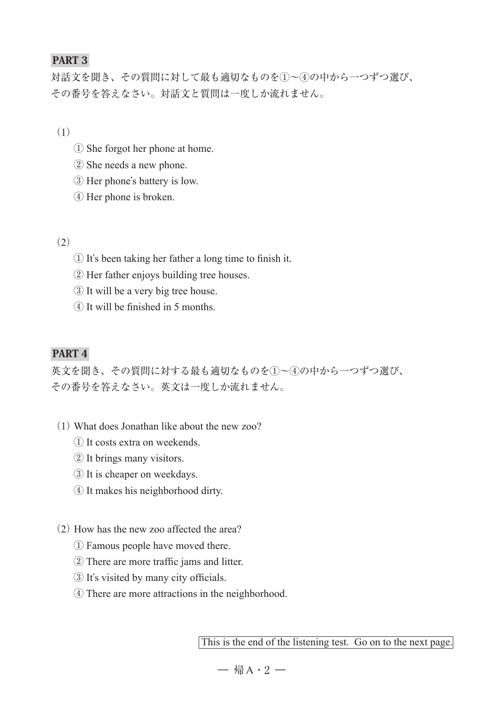## PART 3

対話文を聞き、その質問に対して最も適切なものを①~④の中から一つずつ選び、 その番号を答えなさい。対話文と質問は一度しか流れません。

(1)

- ① She forgot her phone at home.
- ② She needs a new phone.
- ③ Her phone's battery is low.
- ④ Her phone is broken.

#### $(2)$

- ① It's been taking her father a long time to finish it.
- ② Her father enjoys building tree houses.
- ③ It will be a very big tree house.
- ④ It will be finished in 5 months.

#### PART 4

英文を聞き、その質問に対する最も適切なものを①~④の中から一つずつ選び、 その番号を答えなさい。英文は一度しか流れません。

- (1) What does Jonathan like about the new zoo?
	- ① It costs extra on weekends.
	- ② It brings many visitors.
	- ③ It is cheaper on weekdays.
	- ④ It makes his neighborhood dirty.
- (2) How has the new zoo affected the area?
	- ① Famous people have moved there.
	- ② There are more traffic jams and litter.
	- ③ It's visited by many city officials.
	- ④ There are more attractions in the neighborhood.

This is the end of the listening test. Go on to the next page.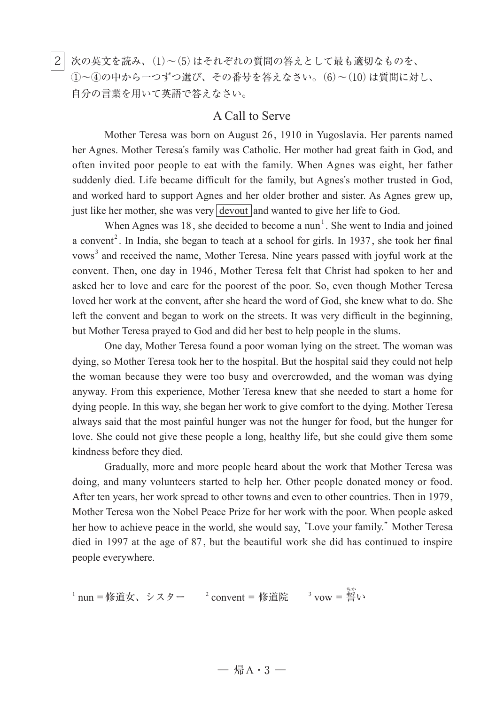|2| 次の英文を読み、(1)~(5)はそれぞれの質問の答えとして最も適切なものを、 ①~④の中から一つずつ選び、その番号を答えなさい。(6)~(10)は質問に対し、 自分の言葉を用いて英語で答えなさい。

#### A Call to Serve

Mother Teresa was born on August 26, 1910 in Yugoslavia. Her parents named her Agnes. Mother Teresa's family was Catholic. Her mother had great faith in God, and often invited poor people to eat with the family. When Agnes was eight, her father suddenly died. Life became difficult for the family, but Agnes's mother trusted in God, and worked hard to support Agnes and her older brother and sister. As Agnes grew up, just like her mother, she was very  $\frac{1}{2}$  devout and wanted to give her life to God.

When Agnes was  $18$ , she decided to become a nun<sup>1</sup>. She went to India and joined a convent<sup>2</sup>. In India, she began to teach at a school for girls. In 1937, she took her final vows<sup>3</sup> and received the name, Mother Teresa. Nine years passed with joyful work at the convent. Then, one day in 1946 , Mother Teresa felt that Christ had spoken to her and asked her to love and care for the poorest of the poor. So, even though Mother Teresa loved her work at the convent, after she heard the word of God, she knew what to do. She left the convent and began to work on the streets. It was very difficult in the beginning, but Mother Teresa prayed to God and did her best to help people in the slums.

 One day, Mother Teresa found a poor woman lying on the street. The woman was dying, so Mother Teresa took her to the hospital. But the hospital said they could not help the woman because they were too busy and overcrowded, and the woman was dying anyway. From this experience, Mother Teresa knew that she needed to start a home for dying people. In this way, she began her work to give comfort to the dying. Mother Teresa always said that the most painful hunger was not the hunger for food, but the hunger for love. She could not give these people a long, healthy life, but she could give them some kindness before they died.

 Gradually, more and more people heard about the work that Mother Teresa was doing, and many volunteers started to help her. Other people donated money or food. After ten years, her work spread to other towns and even to other countries. Then in 1979, Mother Teresa won the Nobel Peace Prize for her work with the poor. When people asked her how to achieve peace in the world, she would say, "Love your family." Mother Teresa died in 1997 at the age of 87 , but the beautiful work she did has continued to inspire people everywhere.

1 nun=修道女、シスター <sup>2</sup> convent = 修道院 <sup>3</sup> vow = 誓 ちか い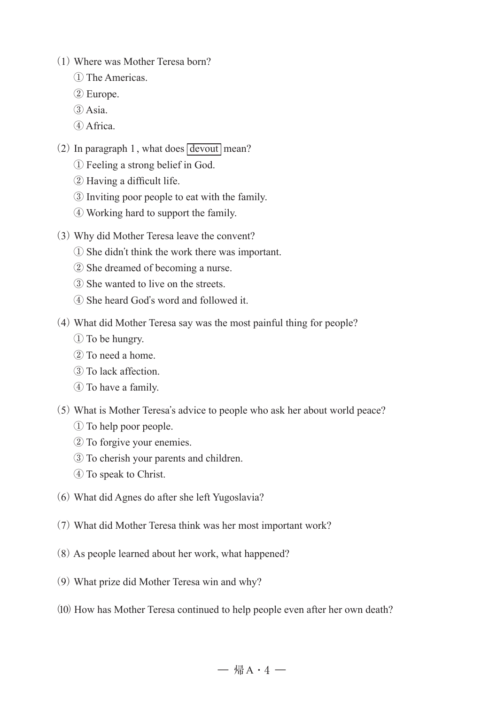- (1) Where was Mother Teresa born?
	- The Americas.
	- Europe.
	- $(3)$  Asia.
	- Africa.
- (2) In paragraph 1, what does  $\sqrt{\text{devout}}$  mean?
	- Feeling a strong belief in God.
	- Having a difficult life.
	- Inviting poor people to eat with the family.
	- Working hard to support the family.
- (3) Why did Mother Teresa leave the convent?
	- She didn't think the work there was important.
	- She dreamed of becoming a nurse.
	- She wanted to live on the streets.
	- She heard God's word and followed it.
- (4) What did Mother Teresa say was the most painful thing for people?
	- To be hungry.
	- To need a home.
	- To lack affection.
	- To have a family.
- (5) What is Mother Teresa's advice to people who ask her about world peace?
	- To help poor people.
	- To forgive your enemies.
	- To cherish your parents and children.
	- To speak to Christ.
- (6) What did Agnes do after she left Yugoslavia?
- (7) What did Mother Teresa think was her most important work?
- (8) As people learned about her work, what happened?
- (9) What prize did Mother Teresa win and why?
- (10) How has Mother Teresa continued to help people even after her own death?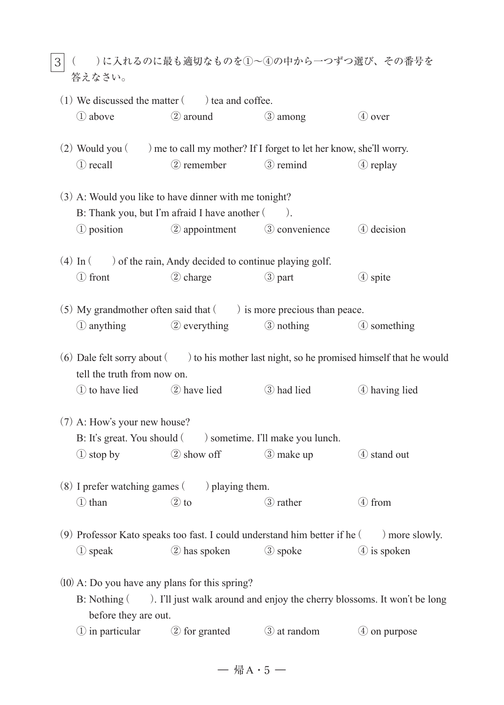|3|( )に入れるのに最も適切なものを①~④の中から一つずつ選び、その番号を 答えなさい。

|                                                   | $(1)$ We discussed the matter $($ $)$ tea and coffee.                                                    |                             |                                                                                                  |
|---------------------------------------------------|----------------------------------------------------------------------------------------------------------|-----------------------------|--------------------------------------------------------------------------------------------------|
| 1 above                                           | 2 around                                                                                                 | $(3)$ among                 | 4 over                                                                                           |
|                                                   | $(2)$ Would you $($ $)$ me to call my mother? If I forget to let her know, she'll worry.                 |                             |                                                                                                  |
| 1 recall                                          | 2 remember                                                                                               | 3 remind                    | 4 replay                                                                                         |
|                                                   | (3) A: Would you like to have dinner with me tonight?<br>B: Thank you, but I'm afraid I have another (). |                             |                                                                                                  |
| 1 position                                        |                                                                                                          | 2 appointment 3 convenience | 4 decision                                                                                       |
|                                                   | $(4)$ In $($ ) of the rain, Andy decided to continue playing golf.                                       |                             |                                                                                                  |
| ① front                                           | 2 charge                                                                                                 | <b>3</b> part               | 4 spite                                                                                          |
|                                                   | (5) My grandmother often said that $($ ) is more precious than peace.                                    |                             |                                                                                                  |
| 1 anything                                        | 2 everything                                                                                             | <b>3</b> nothing            | 4 something                                                                                      |
| tell the truth from now on.                       |                                                                                                          |                             | $(6)$ Dale felt sorry about $($ ) to his mother last night, so he promised himself that he would |
|                                                   | 1 to have lied 2 have lied 3 had lied                                                                    |                             | 4 having lied                                                                                    |
| $(7)$ A: How's your new house?                    | B: It's great. You should () sometime. I'll make you lunch.                                              |                             |                                                                                                  |
|                                                   |                                                                                                          |                             |                                                                                                  |
|                                                   | 1 stop by 2 show off 3 make up                                                                           |                             | 4 stand out                                                                                      |
| $(8)$ I prefer watching games $($ ) playing them. |                                                                                                          |                             |                                                                                                  |
| ① than                                            | $\circled{2}$ to                                                                                         | 3 rather                    | $(4)$ from                                                                                       |
|                                                   | (9) Professor Kato speaks too fast. I could understand him better if he (                                |                             | more slowly.                                                                                     |
| ① speak                                           | 2 has spoken                                                                                             | 3 spoke                     | $(4)$ is spoken                                                                                  |
| B: Nothing (                                      | $(10)$ A: Do you have any plans for this spring?                                                         |                             | ). I'll just walk around and enjoy the cherry blossoms. It won't be long                         |
| before they are out.                              |                                                                                                          |                             |                                                                                                  |
| 1) in particular                                  | 2 for granted                                                                                            | 3 at random                 | $(4)$ on purpose                                                                                 |

 $-$  帰 $A \cdot 5 -$